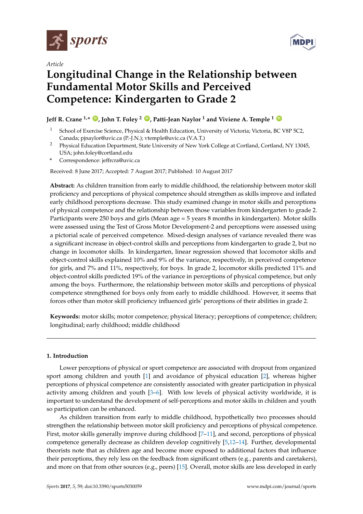

*Article*



# **Longitudinal Change in the Relationship between Fundamental Motor Skills and Perceived Competence: Kindergarten to Grade 2**

## **Jeff R. Crane 1,\* [ID](https://orcid.org/0000-0002-2778-5624) , John T. Foley <sup>2</sup> [ID](https://orcid.org/0000-0002-3718-8276) , Patti-Jean Naylor <sup>1</sup> and Viviene A. Temple <sup>1</sup> [ID](https://orcid.org/0000-0003-2213-1629)**

- <sup>1</sup> School of Exercise Science, Physical & Health Education, University of Victoria; Victoria, BC V8P 5C2, Canada; pjnaylor@uvic.ca (P.-J.N.); vtemple@uvic.ca (V.A.T.)
- <sup>2</sup> Physical Education Department, State University of New York College at Cortland, Cortland, NY 13045, USA; john.foley@cortland.edu
- **\*** Correspondence: jeffrcra@uvic.ca

Received: 8 June 2017; Accepted: 7 August 2017; Published: 10 August 2017

**Abstract:** As children transition from early to middle childhood, the relationship between motor skill proficiency and perceptions of physical competence should strengthen as skills improve and inflated early childhood perceptions decrease. This study examined change in motor skills and perceptions of physical competence and the relationship between those variables from kindergarten to grade 2. Participants were 250 boys and girls (Mean age = 5 years 8 months in kindergarten). Motor skills were assessed using the Test of Gross Motor Development-2 and perceptions were assessed using a pictorial scale of perceived competence. Mixed-design analyses of variance revealed there was a significant increase in object-control skills and perceptions from kindergarten to grade 2, but no change in locomotor skills. In kindergarten, linear regression showed that locomotor skills and object-control skills explained 10% and 9% of the variance, respectively, in perceived competence for girls, and 7% and 11%, respectively, for boys. In grade 2, locomotor skills predicted 11% and object-control skills predicted 19% of the variance in perceptions of physical competence, but only among the boys. Furthermore, the relationship between motor skills and perceptions of physical competence strengthened for boys only from early to middle childhood. However, it seems that forces other than motor skill proficiency influenced girls' perceptions of their abilities in grade 2.

**Keywords:** motor skills; motor competence; physical literacy; perceptions of competence; children; longitudinal; early childhood; middle childhood

## **1. Introduction**

Lower perceptions of physical or sport competence are associated with dropout from organized sport among children and youth [\[1\]](#page-7-0) and avoidance of physical education [\[2\]](#page-7-1), whereas higher perceptions of physical competence are consistently associated with greater participation in physical activity among children and youth [\[3](#page-7-2)[–6\]](#page-7-3). With low levels of physical activity worldwide, it is important to understand the development of self-perceptions and motor skills in children and youth so participation can be enhanced.

As children transition from early to middle childhood, hypothetically two processes should strengthen the relationship between motor skill proficiency and perceptions of physical competence. First, motor skills generally improve during childhood [\[7](#page-7-4)[–11\]](#page-7-5), and second, perceptions of physical competence generally decrease as children develop cognitively [\[5](#page-7-6)[,12](#page-8-0)[–14\]](#page-8-1). Further, developmental theorists note that as children age and become more exposed to additional factors that influence their perceptions, they rely less on the feedback from significant others (e.g., parents and caretakers), and more on that from other sources (e.g., peers) [\[15\]](#page-8-2). Overall, motor skills are less developed in early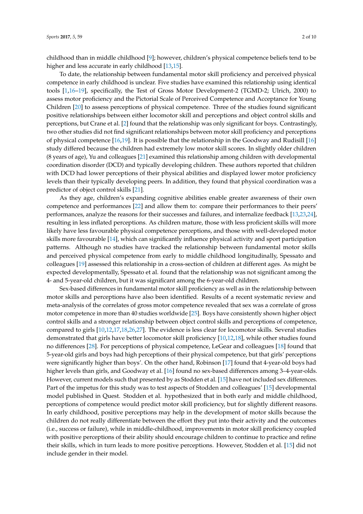childhood than in middle childhood [\[9\]](#page-7-7); however, children's physical competence beliefs tend to be higher and less accurate in early childhood [\[13](#page-8-3)[,15\]](#page-8-2).

To date, the relationship between fundamental motor skill proficiency and perceived physical competence in early childhood is unclear. Five studies have examined this relationship using identical tools [\[1](#page-7-0)[,16](#page-8-4)[–19\]](#page-8-5), specifically, the Test of Gross Motor Development-2 (TGMD-2; Ulrich, 2000) to assess motor proficiency and the Pictorial Scale of Perceived Competence and Acceptance for Young Children [\[20\]](#page-8-6) to assess perceptions of physical competence. Three of the studies found significant positive relationships between either locomotor skill and perceptions and object control skills and perceptions, but Crane et al. [\[2\]](#page-7-1) found that the relationship was only significant for boys. Contrastingly, two other studies did not find significant relationships between motor skill proficiency and perceptions of physical competence [\[16](#page-8-4)[,19\]](#page-8-5). It is possible that the relationship in the Goodway and Rudisill [\[16\]](#page-8-4) study differed because the children had extremely low motor skill scores. In slightly older children (8 years of age), Yu and colleagues [\[21\]](#page-8-7) examined this relationship among children with developmental coordination disorder (DCD) and typically developing children. These authors reported that children with DCD had lower perceptions of their physical abilities and displayed lower motor proficiency levels than their typically developing peers. In addition, they found that physical coordination was a predictor of object control skills [\[21\]](#page-8-7).

As they age, children's expanding cognitive abilities enable greater awareness of their own competence and performances [\[22\]](#page-8-8) and allow them to: compare their performances to their peers' performances, analyze the reasons for their successes and failures, and internalize feedback [\[13](#page-8-3)[,23](#page-8-9)[,24\]](#page-8-10), resulting in less inflated perceptions. As children mature, those with less proficient skills will more likely have less favourable physical competence perceptions, and those with well-developed motor skills more favourable [\[14\]](#page-8-1), which can significantly influence physical activity and sport participation patterns. Although no studies have tracked the relationship between fundamental motor skills and perceived physical competence from early to middle childhood longitudinally, Spessato and colleagues [\[19\]](#page-8-5) assessed this relationship in a cross-section of children at different ages. As might be expected developmentally, Spessato et al. found that the relationship was not significant among the 4- and 5-year-old children, but it was significant among the 6-year-old children.

Sex-based differences in fundamental motor skill proficiency as well as in the relationship between motor skills and perceptions have also been identified. Results of a recent systematic review and meta-analysis of the correlates of gross motor competence revealed that sex was a correlate of gross motor competence in more than 40 studies worldwide [\[25\]](#page-8-11). Boys have consistently shown higher object control skills and a stronger relationship between object control skills and perceptions of competence, compared to girls [\[10](#page-7-8)[,12,](#page-8-0)[17](#page-8-12)[,18,](#page-8-13)[26](#page-8-14)[,27\]](#page-8-15). The evidence is less clear for locomotor skills. Several studies demonstrated that girls have better locomotor skill proficiency [\[10,](#page-7-8)[12,](#page-8-0)[18\]](#page-8-13), while other studies found no differences [\[28\]](#page-8-16). For perceptions of physical competence, LeGear and colleagues [\[18\]](#page-8-13) found that 5-year-old girls and boys had high perceptions of their physical competence, but that girls' perceptions were significantly higher than boys'. On the other hand, Robinson [\[17\]](#page-8-12) found that 4-year-old boys had higher levels than girls, and Goodway et al. [\[16\]](#page-8-4) found no sex-based differences among 3–4-year-olds. However, current models such that presented by as Stodden et al. [\[15\]](#page-8-2) have not included sex differences. Part of the impetus for this study was to test aspects of Stodden and colleagues' [\[15\]](#page-8-2) developmental model published in Quest. Stodden et al. hypothesized that in both early and middle childhood, perceptions of competence would predict motor skill proficiency, but for slightly different reasons. In early childhood, positive perceptions may help in the development of motor skills because the children do not really differentiate between the effort they put into their activity and the outcomes (i.e., success or failure), while in middle-childhood, improvements in motor skill proficiency coupled with positive perceptions of their ability should encourage children to continue to practice and refine their skills, which in turn leads to more positive perceptions. However, Stodden et al. [\[15\]](#page-8-2) did not include gender in their model.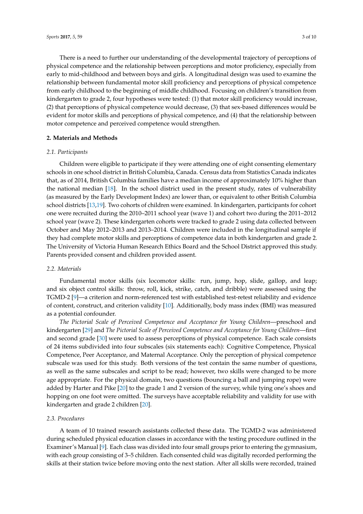There is a need to further our understanding of the developmental trajectory of perceptions of physical competence and the relationship between perceptions and motor proficiency, especially from early to mid-childhood and between boys and girls. A longitudinal design was used to examine the relationship between fundamental motor skill proficiency and perceptions of physical competence from early childhood to the beginning of middle childhood. Focusing on children's transition from kindergarten to grade 2, four hypotheses were tested: (1) that motor skill proficiency would increase, (2) that perceptions of physical competence would decrease, (3) that sex-based differences would be evident for motor skills and perceptions of physical competence, and (4) that the relationship between motor competence and perceived competence would strengthen.

### **2. Materials and Methods**

## *2.1. Participants*

Children were eligible to participate if they were attending one of eight consenting elementary schools in one school district in British Columbia, Canada. Census data from Statistics Canada indicates that, as of 2014, British Columbia families have a median income of approximately 10% higher than the national median [\[18\]](#page-8-13). In the school district used in the present study, rates of vulnerability (as measured by the Early Development Index) are lower than, or equivalent to other British Columbia school districts [\[13,](#page-8-3)[19\]](#page-8-5). Two cohorts of children were examined. In kindergarten, participants for cohort one were recruited during the 2010–2011 school year (wave 1) and cohort two during the 2011–2012 school year (wave 2). These kindergarten cohorts were tracked to grade 2 using data collected between October and May 2012–2013 and 2013–2014. Children were included in the longitudinal sample if they had complete motor skills and perceptions of competence data in both kindergarten and grade 2. The University of Victoria Human Research Ethics Board and the School District approved this study. Parents provided consent and children provided assent.

## *2.2. Materials*

Fundamental motor skills (six locomotor skills: run, jump, hop, slide, gallop, and leap; and six object control skills: throw, roll, kick, strike, catch, and dribble) were assessed using the TGMD-2 [\[9\]](#page-7-7)—a criterion and norm-referenced test with established test-retest reliability and evidence of content, construct, and criterion validity [\[10\]](#page-7-8). Additionally, body mass index (BMI) was measured as a potential confounder.

*The Pictorial Scale of Perceived Competence and Acceptance for Young Children*—preschool and kindergarten [\[29\]](#page-8-17) and *The Pictorial Scale of Perceived Competence and Acceptance for Young Children*—first and second grade [\[30\]](#page-8-18) were used to assess perceptions of physical competence. Each scale consists of 24 items subdivided into four subscales (six statements each): Cognitive Competence, Physical Competence, Peer Acceptance, and Maternal Acceptance. Only the perception of physical competence subscale was used for this study. Both versions of the test contain the same number of questions, as well as the same subscales and script to be read; however, two skills were changed to be more age appropriate. For the physical domain, two questions (bouncing a ball and jumping rope) were added by Harter and Pike [\[20\]](#page-8-6) to the grade 1 and 2 version of the survey, while tying one's shoes and hopping on one foot were omitted. The surveys have acceptable reliability and validity for use with kindergarten and grade 2 children [\[20\]](#page-8-6).

## *2.3. Procedures*

A team of 10 trained research assistants collected these data. The TGMD-2 was administered during scheduled physical education classes in accordance with the testing procedure outlined in the Examiner's Manual [\[9\]](#page-7-7). Each class was divided into four small groups prior to entering the gymnasium, with each group consisting of 3–5 children. Each consented child was digitally recorded performing the skills at their station twice before moving onto the next station. After all skills were recorded, trained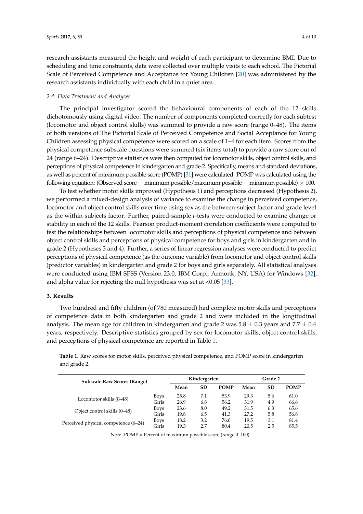research assistants measured the height and weight of each participant to determine BMI. Due to scheduling and time constraints, data were collected over multiple visits to each school. The Pictorial Scale of Perceived Competence and Acceptance for Young Children [\[20\]](#page-8-6) was administered by the research assistants individually with each child in a quiet area.

#### *2.4. Data Treatment and Analyses*

The principal investigator scored the behavioural components of each of the 12 skills dichotomously using digital video. The number of components completed correctly for each subtest (locomotor and object control skills) was summed to provide a raw score (range 0–48). The items of both versions of The Pictorial Scale of Perceived Competence and Social Acceptance for Young Children assessing physical competence were scored on a scale of 1–4 for each item. Scores from the physical competence subscale questions were summed (six items total) to provide a raw score out of 24 (range 6–24). Descriptive statistics were then computed for locomotor skills, object control skills, and perceptions of physical competence in kindergarten and grade 2. Specifically, means and standard deviations, as well as percent of maximum possible score (POMP) [\[31\]](#page-8-19) were calculated. POMP was calculated using the following equation: (Observed score − minimum possible/maximum possible − minimum possible)  $\times$  100.

To test whether motor skills improved (Hypothesis 1) and perceptions decreased (Hypothesis 2), we performed a mixed-design analysis of variance to examine the change in perceived competence, locomotor and object control skills over time using sex as the between-subject factor and grade level as the within-subjects factor. Further, paired-sample *t*-tests were conducted to examine change or stability in each of the 12 skills. Pearson product-moment correlation coefficients were computed to test the relationships between locomotor skills and perceptions of physical competence and between object control skills and perceptions of physical competence for boys and girls in kindergarten and in grade 2 (Hypotheses 3 and 4). Further, a series of linear regression analyses were conducted to predict perceptions of physical competence (as the outcome variable) from locomotor and object control skills (predictor variables) in kindergarten and grade 2 for boys and girls separately. All statistical analyses were conducted using IBM SPSS (Version 23.0, IBM Corp., Armonk, NY, USA) for Windows [\[32\]](#page-8-20), and alpha value for rejecting the null hypothesis was set at <0.05 [\[33\]](#page-8-21).

#### **3. Results**

Two hundred and fifty children (of 780 measured) had complete motor skills and perceptions of competence data in both kindergarten and grade 2 and were included in the longitudinal analysis. The mean age for children in kindergarten and grade 2 was  $5.8 \pm 0.3$  years and  $7.7 \pm 0.4$ years, respectively. Descriptive statistics grouped by sex for locomotor skills, object control skills, and perceptions of physical competence are reported in Table [1.](#page-3-0)

<span id="page-3-0"></span>**Table 1.** Raw scores for motor skills, perceived physical competence, and POMP score in kindergarten and grade 2.

| <b>Subscale Raw Scores (Range)</b>   |             | Kindergarten |             |      | Grade 2 |             |      |
|--------------------------------------|-------------|--------------|-------------|------|---------|-------------|------|
|                                      | Mean        | <b>SD</b>    | <b>POMP</b> | Mean | SD      | <b>POMP</b> |      |
| Locomotor skills (0–48)              | <b>Boys</b> | 25.8         | 7.1         | 53.9 | 29.3    | 5.6         | 61.0 |
|                                      | Girls       | 26.9         | 6.8         | 56.2 | 31.9    | 4.9         | 66.6 |
| Object control skills (0–48)         | <b>Boys</b> | 23.6         | 8.0         | 49.2 | 31.5    | 6.3         | 65.6 |
|                                      | Girls       | 19.8         | 6.5         | 41.3 | 27.2    | 5.8         | 56.8 |
| Perceived physical competence (6–24) | <b>Boys</b> | 18.2         | 3.2         | 76.0 | 19.5    | 3.1         | 81.4 |
|                                      | Girls       | 19.3         | 2.7         | 80.4 | 20.5    | 2.5         | 85.5 |

Note. POMP = Percent of maximum possible score (range 0–100).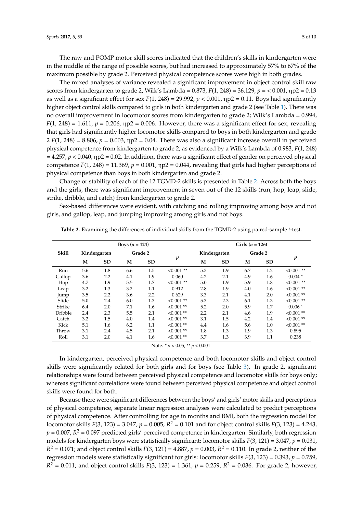The raw and POMP motor skill scores indicated that the children's skills in kindergarten were in the middle of the range of possible scores, but had increased to approximately 57% to 67% of the maximum possible by grade 2. Perceived physical competence scores were high in both grades.

The mixed analyses of variance revealed a significant improvement in object control skill raw scores from kindergarten to grade 2, Wilk's Lambda = 0.873, *F*(1, 248) = 36.129, *p* = < 0.001, ηp2 = 0.13 as well as a significant effect for sex  $F(1, 248) = 29.992$ ,  $p < 0.001$ ,  $np2 = 0.11$ . Boys had significantly higher object control skills compared to girls in both kindergarten and grade 2 (see Table [1\)](#page-3-0). There was no overall improvement in locomotor scores from kindergarten to grade 2; Wilk's Lambda = 0.994,  $F(1, 248) = 1.611$ ,  $p = 0.206$ ,  $np2 = 0.006$ . However, there was a significant effect for sex, revealing that girls had significantly higher locomotor skills compared to boys in both kindergarten and grade  $2 F(1, 248) = 8.806$ ,  $p = 0.003$ ,  $np2 = 0.04$ . There was also a significant increase overall in perceived physical competence from kindergarten to grade 2, as evidenced by a Wilk's Lambda of 0.983, *F*(1, 248)  $= 4.257$ ,  $p < 0.040$ ,  $np2 = 0.02$ . In addition, there was a significant effect of gender on perceived physical competence  $F(1, 248) = 11.369$ ,  $p = 0.001$ ,  $np2 = 0.044$ , revealing that girls had higher perceptions of physical competence than boys in both kindergarten and grade 2.

Change or stability of each of the 12 TGMD-2 skills is presented in Table [2.](#page-4-0) Across both the boys and the girls, there was significant improvement in seven out of the 12 skills (run, hop, leap, slide, strike, dribble, and catch) from kindergarten to grade 2.

Sex-based differences were evident, with catching and rolling improving among boys and not girls, and gallop, leap, and jumping improving among girls and not boys.

|              | Boys $(n = 124)$ |     |         |           |                  |              | Girls $(n = 126)$ |         |     |                  |  |
|--------------|------------------|-----|---------|-----------|------------------|--------------|-------------------|---------|-----|------------------|--|
| <b>Skill</b> | Kindergarten     |     | Grade 2 |           |                  | Kindergarten |                   | Grade 2 |     |                  |  |
|              | M                | SD  | M       | <b>SD</b> | $\boldsymbol{p}$ | M            | <b>SD</b>         | M       | SD  | $\boldsymbol{p}$ |  |
| Run          | 5.6              | 1.8 | 6.6     | 1.5       | $< 0.001$ **     | 5.3          | 1.9               | 6.7     | 1.2 | $< 0.001$ **     |  |
| Gallop       | 3.6              | 2.2 | 4.1     | 1.9       | 0.060            | 4.2          | 2.1               | 4.9     | 1.6 | $0.004*$         |  |
| Hop          | 4.7              | 1.9 | 5.5     | 1.7       | $< 0.001$ **     | 5.0          | 1.9               | 5.9     | 1.8 | $< 0.001$ **     |  |
| Leap         | 3.2              | 1.3 | 3.2     | 1.1       | 0.912            | 2.8          | 1.9               | 4.0     | 1.6 | $<0.001**$       |  |
| Jump         | 3.5              | 2.2 | 3.6     | 2.2       | 0.629            | 3.3          | 2.1               | 4.1     | 2.0 | $< 0.001$ **     |  |
| Slide        | 5.0              | 2.4 | 6.0     | 1.3       | $< 0.001$ **     | 5.3          | 2.3               | 6.1     | 1.3 | $< 0.001$ **     |  |
| Strike       | 6.4              | 2.0 | 7.1     | 1.6       | $< 0.001$ **     | 5.2          | 2.0               | 5.9     | 1.7 | $0.006*$         |  |
| Dribble      | 2.4              | 2.3 | 5.5     | 2.1       | $< 0.001$ **     | 2.2          | 2.1               | 4.6     | 1.9 | $< 0.001$ **     |  |
| Catch        | 3.2              | 1.5 | 4.0     | 1.4       | $<0.001$ **      | 3.1          | 1.5               | 4.2     | 1.4 | $< 0.001$ **     |  |
| Kick         | 5.1              | 1.6 | 6.2     | 1.1       | $< 0.001$ **     | 4.4          | 1.6               | 5.6     | 1.0 | $< 0.001$ **     |  |
| Throw        | 3.1              | 2.4 | 4.5     | 2.1       | $< 0.001$ **     | 1.8          | 1.3               | 1.9     | 1.3 | 0.895            |  |
| Roll         | 3.1              | 2.0 | 4.1     | 1.6       | $< 0.001$ **     | 3.7          | 1.3               | 3.9     | 1.1 | 0.238            |  |

<span id="page-4-0"></span>**Table 2.** Examining the differences of individual skills from the TGMD-2 using paired-sample *t*-test.

Note. \* *p* < 0.05, \*\* *p* < 0.001

In kindergarten, perceived physical competence and both locomotor skills and object control skills were significantly related for both girls and for boys (see Table [3\)](#page-5-0). In grade 2, significant relationships were found between perceived physical competence and locomotor skills for boys only; whereas significant correlations were found between perceived physical competence and object control skills were found for both.

Because there were significant differences between the boys' and girls' motor skills and perceptions of physical competence, separate linear regression analyses were calculated to predict perceptions of physical competence. After controlling for age in months and BMI, both the regression model for locomotor skills *F*(3, 123) = 3.047,  $p = 0.005$ ,  $R^2 = 0.101$  and for object control skills *F*(3, 123) = 4.243,  $p = 0.007$ ,  $R^2 = 0.097$  predicted girls' perceived competence in kindergarten. Similarly, both regression models for kindergarten boys were statistically significant: locomotor skills *F*(3, 121) = 3.047, *p* = 0.031,  $R^2 = 0.071$ ; and object control skills  $F(3, 121) = 4.887$ ,  $p = 0.003$ ,  $R^2 = 0.110$ . In grade 2, neither of the regression models were statistically significant for girls: locomotor skills *F*(3, 123) = 0.393, *p* = 0.759,  $R^2 = 0.011$ ; and object control skills *F*(3, 123) = 1.361, *p* = 0.259,  $R^2 = 0.036$ . For grade 2, however,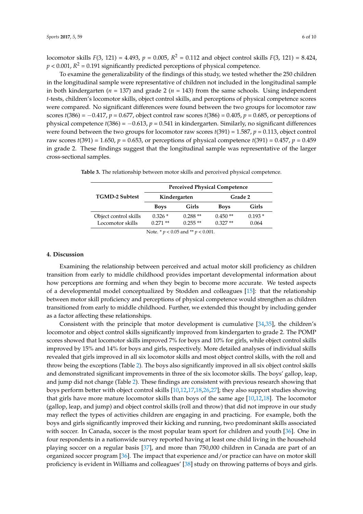locomotor skills *F*(3, 121) = 4.493, *p* = 0.005, *R* <sup>2</sup> = 0.112 and object control skills *F*(3, 121) = 8.424,  $p < 0.001$ ,  $R^2 = 0.191$  significantly predicted perceptions of physical competence.

To examine the generalizability of the findings of this study, we tested whether the 250 children in the longitudinal sample were representative of children not included in the longitudinal sample in both kindergarten ( $n = 137$ ) and grade 2 ( $n = 143$ ) from the same schools. Using independent *t*-tests, children's locomotor skills, object control skills, and perceptions of physical competence scores were compared. No significant differences were found between the two groups for locomotor raw scores *t*(386) = −0.417, *p* = 0.677, object control raw scores *t*(386) = 0.405, *p* = 0.685, or perceptions of physical competence *t*(386) = −0.613, *p* = 0.541 in kindergarten. Similarly, no significant differences were found between the two groups for locomotor raw scores *t*(391) = 1.587, *p* = 0.113, object control raw scores *t*(391) = 1.650, *p* = 0.653, or perceptions of physical competence *t*(391) = 0.457, *p* = 0.459 in grade 2. These findings suggest that the longitudinal sample was representative of the larger cross-sectional samples.

|                                           | <b>Perceived Physical Competence</b> |                        |                        |                   |  |  |  |  |
|-------------------------------------------|--------------------------------------|------------------------|------------------------|-------------------|--|--|--|--|
| <b>TGMD-2 Subtest</b>                     |                                      | Kindergarten           | Grade 2                |                   |  |  |  |  |
|                                           | <b>Boys</b>                          | Girls                  | <b>Boys</b>            | Girls             |  |  |  |  |
| Object control skills<br>Locomotor skills | $0.326*$<br>$0.271$ **               | $0.288**$<br>$0.255**$ | $0.450**$<br>$0.327**$ | $0.193*$<br>0.064 |  |  |  |  |

<span id="page-5-0"></span>**Table 3.** The relationship between motor skills and perceived physical competence.

Note. \* *p* < 0.05 and \*\* *p* < 0.001.

#### **4. Discussion**

Examining the relationship between perceived and actual motor skill proficiency as children transition from early to middle childhood provides important developmental information about how perceptions are forming and when they begin to become more accurate. We tested aspects of a developmental model conceptualized by Stodden and colleagues [\[15\]](#page-8-2): that the relationship between motor skill proficiency and perceptions of physical competence would strengthen as children transitioned from early to middle childhood. Further, we extended this thought by including gender as a factor affecting these relationships.

Consistent with the principle that motor development is cumulative [\[34](#page-8-22)[,35\]](#page-8-23), the children's locomotor and object control skills significantly improved from kindergarten to grade 2. The POMP scores showed that locomotor skills improved 7% for boys and 10% for girls, while object control skills improved by 15% and 14% for boys and girls, respectively. More detailed analyses of individual skills revealed that girls improved in all six locomotor skills and most object control skills, with the roll and throw being the exceptions (Table [2\)](#page-4-0). The boys also significantly improved in all six object control skills and demonstrated significant improvements in three of the six locomotor skills. The boys' gallop, leap, and jump did not change (Table [2\)](#page-4-0). These findings are consistent with previous research showing that boys perform better with object control skills [\[10](#page-7-8)[,12,](#page-8-0)[17](#page-8-12)[,18,](#page-8-13)[26](#page-8-14)[,27\]](#page-8-15); they also support studies showing that girls have more mature locomotor skills than boys of the same age [\[10,](#page-7-8)[12,](#page-8-0)[18\]](#page-8-13). The locomotor (gallop, leap, and jump) and object control skills (roll and throw) that did not improve in our study may reflect the types of activities children are engaging in and practicing. For example, both the boys and girls significantly improved their kicking and running, two predominant skills associated with soccer. In Canada, soccer is the most popular team sport for children and youth [\[36\]](#page-9-0). One in four respondents in a nationwide survey reported having at least one child living in the household playing soccer on a regular basis [\[37\]](#page-9-1), and more than 750,000 children in Canada are part of an organized soccer program [\[36\]](#page-9-0). The impact that experience and/or practice can have on motor skill proficiency is evident in Williams and colleagues' [\[38\]](#page-9-2) study on throwing patterns of boys and girls.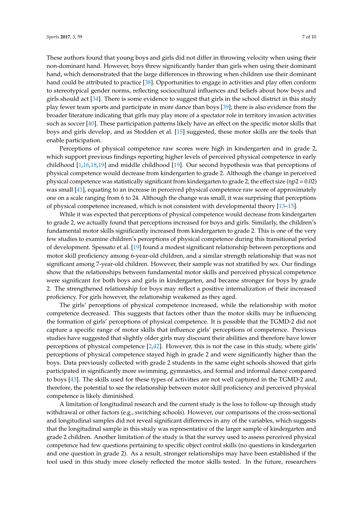enable participation.

These authors found that young boys and girls did not differ in throwing velocity when using their non-dominant hand. However, boys threw significantly harder than girls when using their dominant hand, which demonstrated that the large differences in throwing when children use their dominant hand could be attributed to practice [\[38\]](#page-9-2). Opportunities to engage in activities and play often conform to stereotypical gender norms, reflecting sociocultural influences and beliefs about how boys and girls should act [\[34\]](#page-8-22). There is some evidence to suggest that girls in the school district in this study play fewer team sports and participate in more dance than boys [\[39\]](#page-9-3); there is also evidence from the broader literature indicating that girls may play more of a spectator role in territory invasion activities such as soccer [\[40\]](#page-9-4). These participation patterns likely have an effect on the specific motor skills that boys and girls develop, and as Stodden et al. [\[15\]](#page-8-2) suggested, these motor skills are the tools that

Perceptions of physical competence raw scores were high in kindergarten and in grade 2, which support previous findings reporting higher levels of perceived physical competence in early childhood [\[1,](#page-7-0)[16,](#page-8-4)[18,](#page-8-13)[19\]](#page-8-5) and middle childhood [\[19\]](#page-8-5). Our second hypothesis was that perceptions of physical competence would decrease from kindergarten to grade 2. Although the change in perceived physical competence was statistically significant from kindergarten to grade 2, the effect size (ηp2 = 0.02) was small [\[41\]](#page-9-5), equating to an increase in perceived physical competence raw score of approximately one on a scale ranging from 6 to 24. Although the change was small, it was surprising that perceptions of physical competence increased, which is not consistent with developmental theory [\[13](#page-8-3)[–15\]](#page-8-2).

While it was expected that perceptions of physical competence would decrease from kindergarten to grade 2, we actually found that perceptions increased for boys and girls. Similarly, the children's fundamental motor skills significantly increased from kindergarten to grade 2. This is one of the very few studies to examine children's perceptions of physical competence during this transitional period of development. Spessato et al. [\[19\]](#page-8-5) found a modest significant relationship between perceptions and motor skill proficiency among 6-year-old children, and a similar strength relationship that was not significant among 7-year-old children. However, their sample was not stratified by sex. Our findings show that the relationships between fundamental motor skills and perceived physical competence were significant for both boys and girls in kindergarten, and became stronger for boys by grade 2. The strengthened relationship for boys may reflect a positive internalization of their increased proficiency. For girls however, the relationship weakened as they aged.

The girls' perceptions of physical competence increased, while the relationship with motor competence decreased. This suggests that factors other than the motor skills may be influencing the formation of girls' perceptions of physical competence. It is possible that the TGMD-2 did not capture a specific range of motor skills that influence girls' perceptions of competence. Previous studies have suggested that slightly older girls may discount their abilities and therefore have lower perceptions of physical competence [\[2](#page-7-1)[,42\]](#page-9-6). However, this is not the case in this study, where girls' perceptions of physical competence stayed high in grade 2 and were significantly higher than the boys. Data previously collected with grade 2 students in the same eight schools showed that girls participated in significantly more swimming, gymnastics, and formal and informal dance compared to boys [\[43\]](#page-9-7). The skills used for these types of activities are not well captured in the TGMD-2 and, therefore, the potential to see the relationship between motor skill proficiency and perceived physical competence is likely diminished.

A limitation of longitudinal research and the current study is the loss to follow-up through study withdrawal or other factors (e.g., switching schools). However, our comparisons of the cross-sectional and longitudinal samples did not reveal significant differences in any of the variables, which suggests that the longitudinal sample in this study was representative of the larger sample of kindergarten and grade 2 children. Another limitation of the study is that the survey used to assess perceived physical competence had few questions pertaining to specific object control skills (no questions in kindergarten and one question in grade 2). As a result, stronger relationships may have been established if the tool used in this study more closely reflected the motor skills tested. In the future, researchers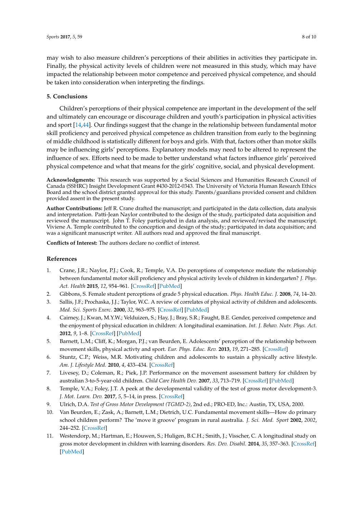may wish to also measure children's perceptions of their abilities in activities they participate in. Finally, the physical activity levels of children were not measured in this study, which may have impacted the relationship between motor competence and perceived physical competence, and should be taken into consideration when interpreting the findings.

### **5. Conclusions**

Children's perceptions of their physical competence are important in the development of the self and ultimately can encourage or discourage children and youth's participation in physical activities and sport [\[14,](#page-8-1)[44\]](#page-9-8). Our findings suggest that the change in the relationship between fundamental motor skill proficiency and perceived physical competence as children transition from early to the beginning of middle childhood is statistically different for boys and girls. With that, factors other than motor skills may be influencing girls' perceptions. Explanatory models may need to be altered to represent the influence of sex. Efforts need to be made to better understand what factors influence girls' perceived physical competence and what that means for the girls' cognitive, social, and physical development.

**Acknowledgments:** This research was supported by a Social Sciences and Humanities Research Council of Canada (SSHRC) Insight Development Grant #430-2012-0343. The University of Victoria Human Research Ethics Board and the school district granted approval for this study. Parents/guardians provided consent and children provided assent in the present study.

**Author Contributions:** Jeff R. Crane drafted the manuscript; and participated in the data collection, data analysis and interpretation. Patti-Jean Naylor contributed to the design of the study, participated data acquisition and reviewed the manuscript. John T. Foley participated in data analysis, and reviewed/revised the manuscript. Viviene A. Temple contributed to the conception and design of the study; participated in data acquisition; and was a significant manuscript writer. All authors read and approved the final manuscript.

**Conflicts of Interest:** The authors declare no conflict of interest.

## **References**

- <span id="page-7-0"></span>1. Crane, J.R.; Naylor, P.J.; Cook, R.; Temple, V.A. Do perceptions of competence mediate the relationship between fundamental motor skill proficiency and physical activity levels of children in kindergarten? *J. Phys. Act. Health* **2015**, *12*, 954–961. [\[CrossRef\]](http://dx.doi.org/10.1123/jpah.2013-0398) [\[PubMed\]](http://www.ncbi.nlm.nih.gov/pubmed/25155099)
- <span id="page-7-1"></span>2. Gibbons, S. Female student perceptions of grade 5 physical education. *Phys. Health Educ. J.* **2008**, *74*, 14–20.
- <span id="page-7-2"></span>3. Sallis, J.F.; Prochaska, J.J.; Taylor, W.C. A review of correlates of physical activity of children and adolescents. *Med. Sci. Sports Exerc.* **2000**, *32*, 963–975. [\[CrossRef\]](http://dx.doi.org/10.1097/00005768-200005000-00014) [\[PubMed\]](http://www.ncbi.nlm.nih.gov/pubmed/10795788)
- 4. Cairney, J.; Kwan, M.Y.W.; Velduizen, S.; Hay, J.; Bray, S.R.; Faught, B.E. Gender, perceived competence and the enjoyment of physical education in children: A longitudinal examination. *Int. J. Behav. Nutr. Phys. Act.* **2012**, *9*, 1–8. [\[CrossRef\]](http://dx.doi.org/10.1186/1479-5868-9-26) [\[PubMed\]](http://www.ncbi.nlm.nih.gov/pubmed/22394618)
- <span id="page-7-6"></span>5. Barnett, L.M.; Cliff, K.; Morgan, P.J.; van Beurden, E. Adolescents' perception of the relationship between movement skills, physical activty and sport. *Eur. Phys. Educ. Rev.* **2013**, *19*, 271–285. [\[CrossRef\]](http://dx.doi.org/10.1177/1356336X13486061)
- <span id="page-7-3"></span>6. Stuntz, C.P.; Weiss, M.R. Motivating children and adolescents to sustain a physically active lifestyle. *Am. J. Lifestyle Med.* **2010**, *4*, 433–434. [\[CrossRef\]](http://dx.doi.org/10.1177/1559827610368779)
- <span id="page-7-4"></span>7. Livesey, D.; Coleman, R.; Piek, J.P. Performance on the movement assessment battery for children by australian 3-to-5-year-old children. *Child Care Health Dev.* **2007**, *33*, 713–719. [\[CrossRef\]](http://dx.doi.org/10.1111/j.1365-2214.2007.00733.x) [\[PubMed\]](http://www.ncbi.nlm.nih.gov/pubmed/17944780)
- 8. Temple, V.A.; Foley, J.T. A peek at the developmental validity of the test of gross motor development-3. *J. Mot. Learn. Dev.* **2017**, *5*, 5–14, in press. [\[CrossRef\]](http://dx.doi.org/10.1123/jmld.2016-0005)
- <span id="page-7-7"></span>9. Ulrich, D.A. *Test of Gross Motor Development (TGMD-2)*, 2nd ed.; PRO-ED, Inc.: Austin, TX, USA, 2000.
- <span id="page-7-8"></span>10. Van Beurden, E.; Zask, A.; Barnett, L.M.; Dietrich, U.C. Fundamental movement skills—How do primary school children perform? The 'move it groove' program in rural australia. *J. Sci. Med. Sport* **2002**, *2002*, 244–252. [\[CrossRef\]](http://dx.doi.org/10.1016/S1440-2440(02)80010-X)
- <span id="page-7-5"></span>11. Westendorp, M.; Hartman, E.; Houwen, S.; Huligen, B.C.H.; Smith, J.; Visscher, C. A longitudinal study on gross motor development in children with learning disorders. *Res. Dev. Disabil.* **2014**, *35*, 357–363. [\[CrossRef\]](http://dx.doi.org/10.1016/j.ridd.2013.11.018) [\[PubMed\]](http://www.ncbi.nlm.nih.gov/pubmed/24333806)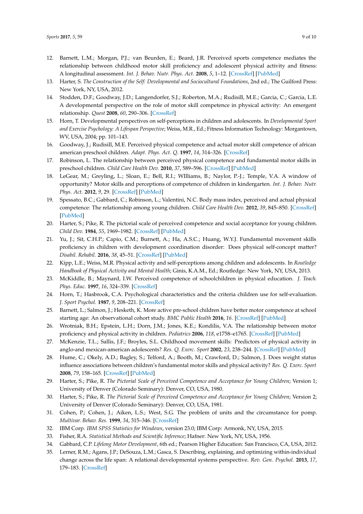- <span id="page-8-0"></span>12. Barnett, L.M.; Morgan, P.J.; van Beurden, E.; Beard, J.R. Perceived sports competence mediates the relationship between childhood motor skill proficiency and adolescent physical activity and fitness: A longitudinal assessment. *Int. J. Behav. Nutr. Phys. Act.* **2008**, *5*, 1–12. [\[CrossRef\]](http://dx.doi.org/10.1186/1479-5868-5-40) [\[PubMed\]](http://www.ncbi.nlm.nih.gov/pubmed/18687148)
- <span id="page-8-3"></span>13. Harter, S. *The Construction of the Self: Developmental and Sociocultural Foundations*, 2nd ed.; The Guilford Press: New York, NY, USA, 2012.
- <span id="page-8-1"></span>14. Stodden, D.F.; Goodway, J.D.; Langendorfer, S.J.; Roberton, M.A.; Rudisill, M.E.; Garcia, C.; Garcia, L.E. A developmental perspective on the role of motor skill competence in physical activity: An emergent relationship. *Quest* **2008**, *60*, 290–306. [\[CrossRef\]](http://dx.doi.org/10.1080/00336297.2008.10483582)
- <span id="page-8-2"></span>15. Horn, T. Developmental perspectives on self-perceptions in children and adolescents. In *Developmental Sport and Exercise Psychology: A Lifespan Perspective*; Weiss, M.R., Ed.; Fitness Information Technology: Morgantown, WV, USA, 2004; pp. 101–143.
- <span id="page-8-4"></span>16. Goodway, J.; Rudisill, M.E. Perceived physical competence and actual motor skill competence of african american preschool children. *Adapt. Phys. Act. Q.* **1997**, *14*, 314–326. [\[CrossRef\]](http://dx.doi.org/10.1123/apaq.14.4.314)
- <span id="page-8-12"></span>17. Robinson, L. The relationship between perceived physical competence and fundamental motor skills in preschool children. *Child Care Health Dev.* **2010**, *37*, 589–596. [\[CrossRef\]](http://dx.doi.org/10.1111/j.1365-2214.2010.01187.x) [\[PubMed\]](http://www.ncbi.nlm.nih.gov/pubmed/21143273)
- <span id="page-8-13"></span>18. LeGear, M.; Greyling, L.; Sloan, E.; Bell, R.I.; WIlliams, B.; Naylor, P.-J.; Temple, V.A. A window of opportunity? Motor skills and perceptions of competence of children in kindergarten. *Int. J. Behav. Nutr. Phys. Act.* **2012**, *9*, 29. [\[CrossRef\]](http://dx.doi.org/10.1186/1479-5868-9-29) [\[PubMed\]](http://www.ncbi.nlm.nih.gov/pubmed/22420534)
- <span id="page-8-5"></span>19. Spessato, B.C.; Gabbard, C.; Robinson, L.; Valentini, N.C. Body mass index, perceived and actual physical competence: The relationship among young children. *Child Care Health Dev.* **2012**, *39*, 845–850. [\[CrossRef\]](http://dx.doi.org/10.1111/cch.12014) [\[PubMed\]](http://www.ncbi.nlm.nih.gov/pubmed/23199334)
- <span id="page-8-6"></span>20. Harter, S.; Pike, R. The pictorial scale of perceived competence and social acceptance for young children. *Child Dev.* **1984**, *55*, 1969–1982. [\[CrossRef\]](http://dx.doi.org/10.2307/1129772) [\[PubMed\]](http://www.ncbi.nlm.nih.gov/pubmed/6525886)
- <span id="page-8-7"></span>21. Yu, J.; Sit, C.H.P.; Capio, C.M.; Burnett, A.; Ha, A.S.C.; Huang, W.Y.J. Fundamental movement skills proficiency in children with development coordination disorder: Does physical self-concept matter? *Disabil. Rehabil.* **2016**, *38*, 45–51. [\[CrossRef\]](http://dx.doi.org/10.3109/09638288.2015.1014067) [\[PubMed\]](http://www.ncbi.nlm.nih.gov/pubmed/25698377)
- <span id="page-8-8"></span>22. Kipp, L.E.; Weiss, M.R. Physical activity and self-perceptions among children and adolescents. In *Routledge Handbook of Physical Activity and Mental Health*; Ginis, K.A.M., Ed.; Routledge: New York, NY, USA, 2013.
- <span id="page-8-9"></span>23. McKiddle, B.; Maynard, I.W. Perceived competence of schoolchildren in physical education. *J. Teach. Phys. Educ.* **1997**, *16*, 324–339. [\[CrossRef\]](http://dx.doi.org/10.1123/jtpe.16.3.324)
- <span id="page-8-10"></span>24. Horn, T.; Hasbrook, C.A. Psychological characteristics and the criteria children use for self-evaluation. *J. Sport Psychol.* **1987**, *9*, 208–221. [\[CrossRef\]](http://dx.doi.org/10.1123/jsp.9.3.208)
- <span id="page-8-11"></span>25. Barnett, L.; Salmon, J.; Hesketh, K. More active pre-school children have better motor competence at school starting age: An observational cohort study. *BMC Public Health* **2016**, *16*. [\[CrossRef\]](http://dx.doi.org/10.1186/s12889-016-3742-1) [\[PubMed\]](http://www.ncbi.nlm.nih.gov/pubmed/27724941)
- <span id="page-8-14"></span>26. Wrotniak, B.H.; Epstein, L.H.; Dorn, J.M.; Jones, K.E.; Kondilis, V.A. The relationship between motor proficiency and physical activity in children. *Pediatrics* **2006**, *118*, e1758–e1765. [\[CrossRef\]](http://dx.doi.org/10.1542/peds.2006-0742) [\[PubMed\]](http://www.ncbi.nlm.nih.gov/pubmed/17142498)
- <span id="page-8-15"></span>27. McKenzie, T.L.; Sallis, J.F.; Broyles, S.L. Childhood movement skills: Predictors of physical activity in anglo-and mexican-american adolescents? *Res. Q. Exerc. Sport* **2002**, *23*, 238–244. [\[CrossRef\]](http://dx.doi.org/10.1080/02701367.2002.10609017) [\[PubMed\]](http://www.ncbi.nlm.nih.gov/pubmed/12230330)
- <span id="page-8-16"></span>28. Hume, C.; Okely, A.D.; Bagley, S.; Telford, A.; Booth, M.; Crawford, D.; Salmon, J. Does weight status influence associations between children's fundamental motor skills and physical activity? *Res. Q. Exerc. Sport* **2008**, *79*, 158–165. [\[CrossRef\]](http://dx.doi.org/10.1080/02701367.2008.10599479) [\[PubMed\]](http://www.ncbi.nlm.nih.gov/pubmed/18664040)
- <span id="page-8-17"></span>29. Harter, S.; Pike, R. *The Pictorial Scale of Perceived Competence and Acceptance for Young Children*; Version 1; University of Denver (Colorado Seminary): Denver, CO, USA, 1980.
- <span id="page-8-18"></span>30. Harter, S.; Pike, R. *The Pictorial Scale of Perceived Competence and Acceptance for Young Children*; Version 2; University of Denver (Colorado Seminary): Denver, CO, USA, 1981.
- <span id="page-8-19"></span>31. Cohen, P.; Cohen, J.; Aiken, L.S.; West, S.G. The problem of units and the circumstance for pomp. *Multivar. Behav. Res.* **1999**, *34*, 315–346. [\[CrossRef\]](http://dx.doi.org/10.1207/S15327906MBR3403_2)
- <span id="page-8-20"></span>32. IBM Corp. *IBM SPSS Statistics for Windows*, version 23.0; IBM Corp: Armonk, NY, USA, 2015.
- <span id="page-8-21"></span>33. Fisher, R.A. *Statistical Methods and Scientific Inference*; Hafner: New York, NY, USA, 1956.
- <span id="page-8-22"></span>34. Gabbard, C.P. *Lifelong Motor Development*, 6th ed.; Pearson Higher Education: San Francisco, CA, USA, 2012.
- <span id="page-8-23"></span>35. Lerner, R.M.; Agans, J.P.; DeSouza, L.M.; Gasca, S. Describing, explaining, and optimizing within-individual change across the life span: A relational developmental systems perspective. *Rev. Gen. Psychol.* **2013**, *17*, 179–183. [\[CrossRef\]](http://dx.doi.org/10.1037/a0032931)